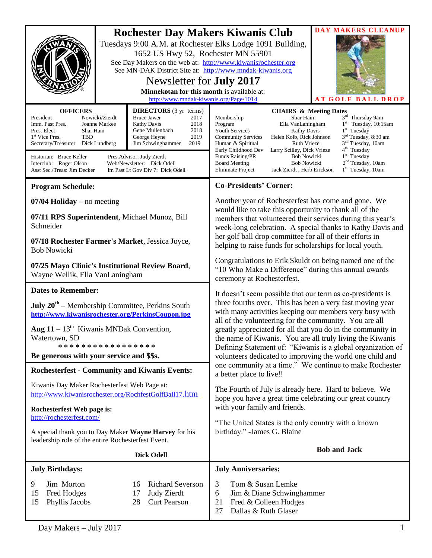| <b>OFFICERS</b>                                                                                                                                                                                                                                                                                                                                                                                                                                                                                         | <b>Rochester Day Makers Kiwanis Club</b><br>Tuesdays 9:00 A.M. at Rochester Elks Lodge 1091 Building,<br>1652 US Hwy 52, Rochester MN 55901<br>See Day Makers on the web at: http://www.kiwanisrochester.org<br>See MN-DAK District Site at: http://www.mndak-kiwanis.org<br>Newsletter for <b>July 2017</b><br>Minnekotan for this month is available at:<br>http://www.mndak-kiwanis.org/Page/1014<br><b>DIRECTORS</b> (3 yr terms) |                                                                                        | DAY MAKERS CLEANUP<br><b>ATGOLF BALL DROP</b><br><b>CHAIRS &amp; Meeting Dates</b>                                                                                                                                                                                                                                                                                                                                                                                                                                                                                                                                                                 |  |
|---------------------------------------------------------------------------------------------------------------------------------------------------------------------------------------------------------------------------------------------------------------------------------------------------------------------------------------------------------------------------------------------------------------------------------------------------------------------------------------------------------|---------------------------------------------------------------------------------------------------------------------------------------------------------------------------------------------------------------------------------------------------------------------------------------------------------------------------------------------------------------------------------------------------------------------------------------|----------------------------------------------------------------------------------------|----------------------------------------------------------------------------------------------------------------------------------------------------------------------------------------------------------------------------------------------------------------------------------------------------------------------------------------------------------------------------------------------------------------------------------------------------------------------------------------------------------------------------------------------------------------------------------------------------------------------------------------------------|--|
| <b>Bruce Jawer</b><br>Nowicki/Zierdt<br>President<br>2017<br>Imm. Past Pres.<br>Joanne Markee<br>Kathy Davis<br>2018<br>Pres. Elect<br>Shar Hain<br>Gene Mullenbach<br>2018<br>1 <sup>st</sup> Vice Pres.<br><b>TBD</b><br>George Heyne<br>2019<br>2019<br>Secretary/Treasurer<br>Dick Lundberg<br>Jim Schwinghammer<br>Historian: Bruce Keller<br>Pres.Advisor: Judy Zierdt<br>Interclub: Roger Olson<br>Web/Newsletter: Dick Odell<br>Asst Sec./Treas: Jim Decker<br>Im Past Lt Gov Div 7: Dick Odell |                                                                                                                                                                                                                                                                                                                                                                                                                                       |                                                                                        | 3rd Thursday 9am<br>Membership<br>Shar Hain<br>$1st$ Tuesday, 10:15am<br>Program<br>Ella VanLaningham<br>$1st$ Tuesday<br><b>Youth Services</b><br><b>Kathy Davis</b><br>3 <sup>rd</sup> Tuesday, 8:30 am<br>Helen Kolb, Rick Johnson<br><b>Community Services</b><br>3 <sup>nd</sup> Tuesday, 10am<br>Human & Spiritual<br><b>Ruth Vrieze</b><br>4 <sup>th</sup> Tuesday<br>Early Childhood Dev<br>Larry Scilley, Dick Vrieze<br>$1st$ Tuesday<br>Funds Raising/PR<br><b>Bob Nowicki</b><br>2 <sup>nd</sup> Tuesday, 10am<br><b>Bob Nowicki</b><br><b>Board Meeting</b><br>$1st$ Tuesday, 10am<br>Eliminate Project<br>Jack Zierdt, Herb Erickson |  |
| <b>Program Schedule:</b>                                                                                                                                                                                                                                                                                                                                                                                                                                                                                |                                                                                                                                                                                                                                                                                                                                                                                                                                       |                                                                                        | <b>Co-Presidents' Corner:</b>                                                                                                                                                                                                                                                                                                                                                                                                                                                                                                                                                                                                                      |  |
| $07/04$ Holiday – no meeting<br>07/11 RPS Superintendent, Michael Munoz, Bill<br>Schneider<br>07/18 Rochester Farmer's Market, Jessica Joyce,<br><b>Bob Nowicki</b>                                                                                                                                                                                                                                                                                                                                     |                                                                                                                                                                                                                                                                                                                                                                                                                                       |                                                                                        | Another year of Rochesterfest has come and gone. We<br>would like to take this opportunity to thank all of the<br>members that volunteered their services during this year's<br>week-long celebration. A special thanks to Kathy Davis and<br>her golf ball drop committee for all of their efforts in<br>helping to raise funds for scholarships for local youth.                                                                                                                                                                                                                                                                                 |  |
| 07/25 Mayo Clinic's Institutional Review Board,<br>Wayne Wellik, Ella VanLaningham                                                                                                                                                                                                                                                                                                                                                                                                                      |                                                                                                                                                                                                                                                                                                                                                                                                                                       |                                                                                        | Congratulations to Erik Skuldt on being named one of the<br>"10 Who Make a Difference" during this annual awards<br>ceremony at Rochesterfest.                                                                                                                                                                                                                                                                                                                                                                                                                                                                                                     |  |
| <b>Dates to Remember:</b>                                                                                                                                                                                                                                                                                                                                                                                                                                                                               |                                                                                                                                                                                                                                                                                                                                                                                                                                       |                                                                                        | It doesn't seem possible that our term as co-presidents is                                                                                                                                                                                                                                                                                                                                                                                                                                                                                                                                                                                         |  |
| <b>July 20<sup>th</sup></b> – Membership Committee, Perkins South<br>http://www.kiwanisrochester.org/PerkinsCoupon.jpg                                                                                                                                                                                                                                                                                                                                                                                  |                                                                                                                                                                                                                                                                                                                                                                                                                                       |                                                                                        | three fourths over. This has been a very fast moving year<br>with many activities keeping our members very busy with<br>all of the volunteering for the community. You are all<br>greatly appreciated for all that you do in the community in<br>the name of Kiwanis. You are all truly living the Kiwanis<br>Defining Statement of: "Kiwanis is a global organization of<br>volunteers dedicated to improving the world one child and<br>one community at a time." We continue to make Rochester<br>a better place to live!!                                                                                                                      |  |
| <b>Aug 11</b> – $13th$ Kiwanis MNDak Convention,<br>Watertown, SD<br>*****************<br>Be generous with your service and \$\$s.                                                                                                                                                                                                                                                                                                                                                                      |                                                                                                                                                                                                                                                                                                                                                                                                                                       |                                                                                        |                                                                                                                                                                                                                                                                                                                                                                                                                                                                                                                                                                                                                                                    |  |
| <b>Rochesterfest - Community and Kiwanis Events:</b>                                                                                                                                                                                                                                                                                                                                                                                                                                                    |                                                                                                                                                                                                                                                                                                                                                                                                                                       |                                                                                        |                                                                                                                                                                                                                                                                                                                                                                                                                                                                                                                                                                                                                                                    |  |
| Kiwanis Day Maker Rochesterfest Web Page at:<br>http://www.kiwanisrochester.org/RochfestGolfBall17.htm                                                                                                                                                                                                                                                                                                                                                                                                  |                                                                                                                                                                                                                                                                                                                                                                                                                                       |                                                                                        | The Fourth of July is already here. Hard to believe. We<br>hope you have a great time celebrating our great country<br>with your family and friends.                                                                                                                                                                                                                                                                                                                                                                                                                                                                                               |  |
| Rochesterfest Web page is:<br>http://rochesterfest.com/                                                                                                                                                                                                                                                                                                                                                                                                                                                 |                                                                                                                                                                                                                                                                                                                                                                                                                                       |                                                                                        |                                                                                                                                                                                                                                                                                                                                                                                                                                                                                                                                                                                                                                                    |  |
| A special thank you to Day Maker Wayne Harvey for his<br>leadership role of the entire Rochesterfest Event.                                                                                                                                                                                                                                                                                                                                                                                             |                                                                                                                                                                                                                                                                                                                                                                                                                                       |                                                                                        | "The United States is the only country with a known<br>birthday." - James G. Blaine                                                                                                                                                                                                                                                                                                                                                                                                                                                                                                                                                                |  |
| <b>Dick Odell</b>                                                                                                                                                                                                                                                                                                                                                                                                                                                                                       |                                                                                                                                                                                                                                                                                                                                                                                                                                       |                                                                                        | <b>Bob and Jack</b>                                                                                                                                                                                                                                                                                                                                                                                                                                                                                                                                                                                                                                |  |
| <b>July Birthdays:</b>                                                                                                                                                                                                                                                                                                                                                                                                                                                                                  |                                                                                                                                                                                                                                                                                                                                                                                                                                       |                                                                                        | <b>July Anniversaries:</b>                                                                                                                                                                                                                                                                                                                                                                                                                                                                                                                                                                                                                         |  |
| Jim Morton<br>9<br>Fred Hodges<br>15<br>15<br>Phyllis Jacobs                                                                                                                                                                                                                                                                                                                                                                                                                                            |                                                                                                                                                                                                                                                                                                                                                                                                                                       | <b>Richard Severson</b><br>16<br><b>Judy Zierdt</b><br>17<br><b>Curt Pearson</b><br>28 | 3<br>Tom & Susan Lemke<br>Jim & Diane Schwinghammer<br>6<br>Fred & Colleen Hodges<br>21<br>Dallas & Ruth Glaser<br>27                                                                                                                                                                                                                                                                                                                                                                                                                                                                                                                              |  |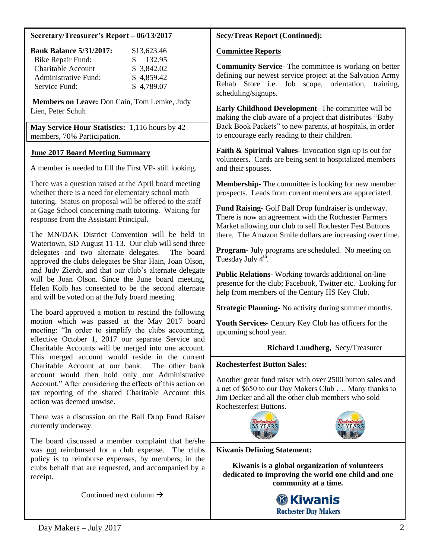#### **Secretary/Treasurer's Report – 06/13/2017**

| <b>Bank Balance 5/31/2017:</b> | \$13,623.46   |
|--------------------------------|---------------|
| <b>Bike Repair Fund:</b>       | 132.95<br>SS. |
| <b>Charitable Account</b>      | \$3,842.02    |
| <b>Administrative Fund:</b>    | \$4,859.42    |
| Service Fund:                  | \$4,789.07    |

**Members on Leave:** Don Cain, Tom Lemke, Judy Lien, Peter Schuh

**May Service Hour Statistics:** 1,116 hours by 42 members, 70% Participation.

# **June 2017 Board Meeting Summary**

A member is needed to fill the First VP- still looking.

There was a question raised at the April board meeting whether there is a need for elementary school math tutoring. Status on proposal will be offered to the staff at Gage School concerning math tutoring. Waiting for response from the Assistant Principal.

The MN/DAK District Convention will be held in Watertown, SD August 11-13. Our club will send three delegates and two alternate delegates. The board approved the clubs delegates be Shar Hain, Joan Olson, and Judy Zierdt, and that our club's alternate delegate will be Joan Olson. Since the June board meeting, Helen Kolb has consented to be the second alternate and will be voted on at the July board meeting.

The board approved a motion to rescind the following motion which was passed at the May 2017 board meeting: "In order to simplify the clubs accounting, effective October 1, 2017 our separate Service and Charitable Accounts will be merged into one account. This merged account would reside in the current Charitable Account at our bank. The other bank account would then hold only our Administrative Account." After considering the effects of this action on tax reporting of the shared Charitable Account this action was deemed unwise.

There was a discussion on the Ball Drop Fund Raiser currently underway.

The board discussed a member complaint that he/she was not reimbursed for a club expense. The clubs policy is to reimburse expenses, by members, in the clubs behalf that are requested, and accompanied by a receipt.

Continued next column  $\rightarrow$ 

## **Secy/Treas Report (Continued):**

### **Committee Reports**

**Community Service-** The committee is working on better defining our newest service project at the Salvation Army Rehab Store i.e. Job scope, orientation, training, scheduling/signups.

**Early Childhood Development-** The committee will be making the club aware of a project that distributes "Baby Back Book Packets" to new parents, at hospitals, in order to encourage early reading to their children.

**Faith & Spiritual Values-** Invocation sign-up is out for volunteers. Cards are being sent to hospitalized members and their spouses.

**Membership-** The committee is looking for new member prospects. Leads from current members are appreciated.

**Fund Raising-** Golf Ball Drop fundraiser is underway. There is now an agreement with the Rochester Farmers Market allowing our club to sell Rochester Fest Buttons there. The Amazon Smile dollars are increasing over time.

**Program-** July programs are scheduled. No meeting on Tuesday July  $4<sup>th</sup>$ .

**Public Relations-** Working towards additional on-line presence for the club; Facebook, Twitter etc. Looking for help from members of the Century HS Key Club.

**Strategic Planning-** No activity during summer months.

**Youth Services-** Century Key Club has officers for the upcoming school year.

## **Richard Lundberg,** Secy/Treasurer

#### **Rochesterfest Button Sales:**

Another great fund raiser with over 2500 button sales and a net of \$650 to our Day Makers Club …. Many thanks to Jim Decker and all the other club members who sold Rochesterfest Buttons.



**Kiwanis Defining Statement:**

**Kiwanis is a global organization of volunteers dedicated to improving the world one child and one community at a time.**

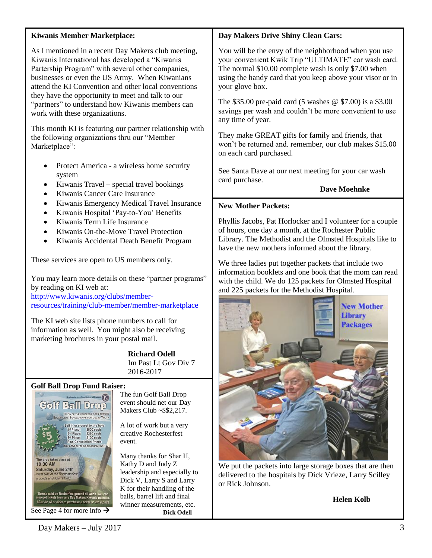#### **Kiwanis Member Marketplace:**

As I mentioned in a recent Day Makers club meeting, Kiwanis International has developed a "Kiwanis Partership Program" with several other companies, businesses or even the US Army. When Kiwanians attend the KI Convention and other local conventions they have the opportunity to meet and talk to our "partners" to understand how Kiwanis members can work with these organizations.

This month KI is featuring our partner relationship with the following organizations thru our "Member Marketplace":

- Protect America a wireless home security system
- Kiwanis Travel special travel bookings
- Kiwanis Cancer Care Insurance
- Kiwanis Emergency Medical Travel Insurance
- Kiwanis Hospital 'Pay-to-You' Benefits
- Kiwanis Term Life Insurance
- Kiwanis On-the-Move Travel Protection
- Kiwanis Accidental Death Benefit Program

These services are open to US members only.

You may learn more details on these "partner programs" by reading on KI web at:

[http://www.kiwanis.org/clubs/member](http://www.kiwanis.org/clubs/member-resources/training/club-member/member-marketplace)[resources/training/club-member/member-marketplace](http://www.kiwanis.org/clubs/member-resources/training/club-member/member-marketplace)

The KI web site lists phone numbers to call for information as well. You might also be receiving marketing brochures in your postal mail.

> **Richard Odell** Im Past Lt Gov Div 7 2016-2017

#### **Golf Ball Drop Fund Raiser:**



The fun Golf Ball Drop event should net our Day Makers Club ~\$\$2,217.

A lot of work but a very creative Rochesterfest event.

Many thanks for Shar H, Kathy D and Judy Z leadership and especially to Dick V, Larry S and Larry K for their handling of the balls, barrel lift and final winner measurements, etc.  **Dick Odell**

## **Day Makers Drive Shiny Clean Cars:**

You will be the envy of the neighborhood when you use your convenient Kwik Trip "ULTIMATE" car wash card. The normal \$10.00 complete wash is only \$7.00 when using the handy card that you keep above your visor or in your glove box.

The \$35.00 pre-paid card (5 washes @ \$7.00) is a \$3.00 savings per wash and couldn't be more convenient to use any time of year.

They make GREAT gifts for family and friends, that won't be returned and. remember, our club makes \$15.00 on each card purchased.

See Santa Dave at our next meeting for your car wash card purchase.

**Dave Moehnke**

## **New Mother Packets:**

Phyllis Jacobs, Pat Horlocker and I volunteer for a couple of hours, one day a month, at the Rochester Public Library. The Methodist and the Olmsted Hospitals like to have the new mothers informed about the library.

We three ladies put together packets that include two information booklets and one book that the mom can read with the child. We do 125 packets for Olmsted Hospital and 225 packets for the Methodist Hospital.



We put the packets into large storage boxes that are then delivered to the hospitals by Dick Vrieze, Larry Scilley or Rick Johnson.

## **Helen Kolb**

 $Day \text{Makers} - \text{July } 2017$  3